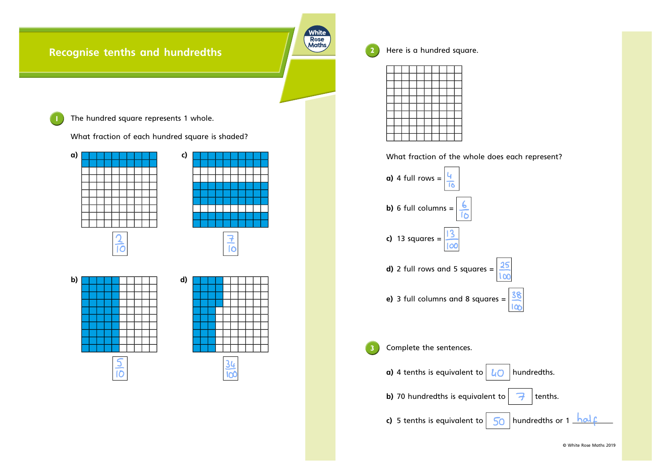## **Recognise tenths and hundredths**

**1** The hundred square represents 1 whole.

What fraction of each hundred square is shaded?



 $rac{5}{10}$ 



**2** Here is <sup>a</sup> hundred square.

Whit Rose<br>Maths

What fraction of the whole does each represent?



© White Rose Maths 2019